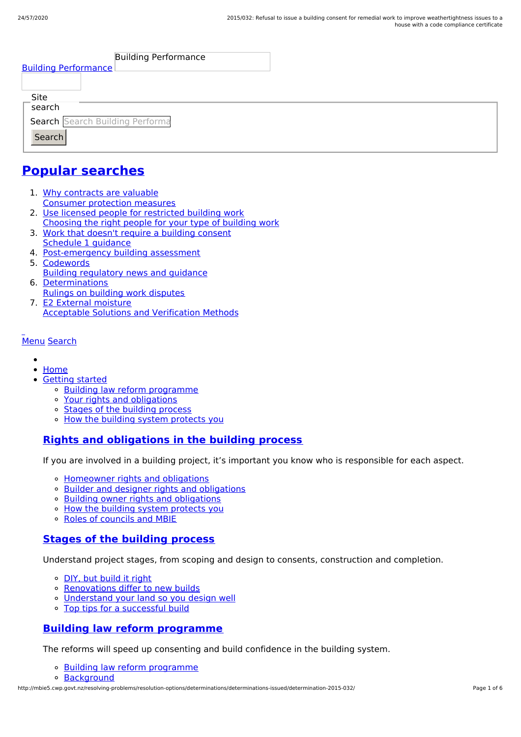| <b>Building Performance</b><br><b>Building Performance</b> |  |
|------------------------------------------------------------|--|
|                                                            |  |
| Site                                                       |  |
| search                                                     |  |
| Search Search Building Performa                            |  |
| Search                                                     |  |
|                                                            |  |

# **Popular [searches](http://mbie5.cwp.govt.nz/#)**

- 1. Why contracts are valuable Consumer protection measures
- 2. Use licensed people for restricted building work Choosing the right people for your type of building work
- 3. Work that doesn't require a building consent Schedule 1 guidance
- 4. Post-emergency building assessment
- 5. Codewords Building regulatory news and guidance
- 6. Determinations Rulings on building work disputes
- 7. E2 External moisture Acceptable Solutions and Verification Methods

#### [Menu](http://mbie5.cwp.govt.nz/#) [Search](http://mbie5.cwp.govt.nz/#)

- 
- [Home](http://mbie5.cwp.govt.nz/)
- [Getting](http://mbie5.cwp.govt.nz/getting-started/) started
	- o Building law reform [programme](http://mbie5.cwp.govt.nz/getting-started/building-law-reforms/)
	- Your rights and [obligations](http://mbie5.cwp.govt.nz/getting-started/your-rights-and-obligations/)
	- Stages of the [building](http://mbie5.cwp.govt.nz/getting-started/stages-of-the-building-process/) process
	- o How the building system [protects](http://mbie5.cwp.govt.nz/getting-started/how-the-building-system-protects-you/) you

### **Rights and [obligations](http://mbie5.cwp.govt.nz/getting-started/your-rights-and-obligations/) in the building process**

If you are involved in a building project, it's important you know who is responsible for each aspect.

- [Homeowner](http://mbie5.cwp.govt.nz/getting-started/your-rights-and-obligations/homeowner-rights-and-obligations/) rights and obligations
- o Builder and designer rights and [obligations](http://mbie5.cwp.govt.nz/getting-started/your-rights-and-obligations/builder-and-designer-rights-and-obligations/)
- o Building owner rights and [obligations](http://mbie5.cwp.govt.nz/getting-started/your-rights-and-obligations/building-owner-rights-and-obligations/)
- o How the building system [protects](http://mbie5.cwp.govt.nz/getting-started/how-the-building-system-protects-you/) you
- Roles of [councils](http://mbie5.cwp.govt.nz/getting-started/how-the-building-system-protects-you/roles-of-councils-and-mbie/) and MBIE

### **Stages of the [building](http://mbie5.cwp.govt.nz/getting-started/stages-of-the-building-process/) process**

Understand project stages, from scoping and design to consents, construction and completion.

- o DIY, but [build](http://mbie5.cwp.govt.nz/getting-started/stages-of-the-building-process/diy-but-build-it-right/) it right
- o [Renovations](http://mbie5.cwp.govt.nz/getting-started/stages-of-the-building-process/renovations-differ-to-new-builds/) differ to new builds
- [Understand](http://mbie5.cwp.govt.nz/getting-started/stages-of-the-building-process/understand-your-land/) your land so you design well
- Top tips for a [successful](http://mbie5.cwp.govt.nz/getting-started/stages-of-the-building-process/top-tips-for-building/) build

### **Building law reform [programme](http://mbie5.cwp.govt.nz/getting-started/building-law-reforms/)**

The reforms will speed up consenting and build confidence in the building system.

- Building law reform [programme](http://mbie5.cwp.govt.nz/getting-started/building-law-reforms/)
- [Background](http://mbie5.cwp.govt.nz/getting-started/building-law-reforms/background-to-the-building-law-reforms/)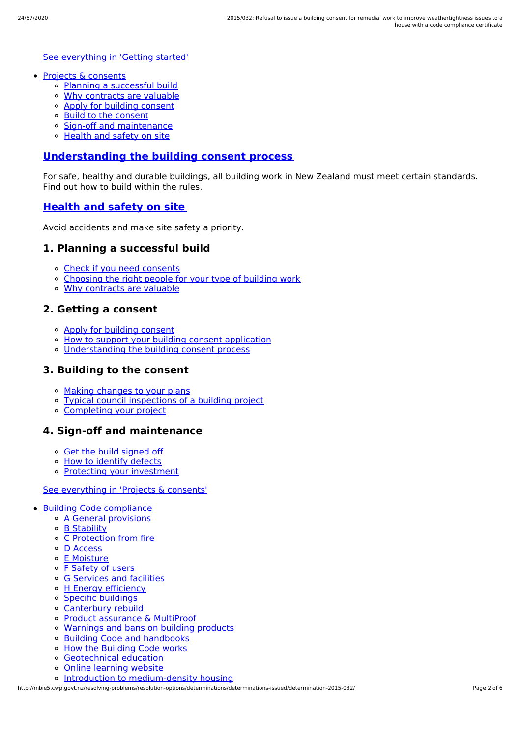#### See [everything](http://mbie5.cwp.govt.nz/getting-started/) in 'Getting started'

- Projects & [consents](http://mbie5.cwp.govt.nz/projects-and-consents/)
	- Planning a [successful](http://mbie5.cwp.govt.nz/projects-and-consents/planning-a-successful-build/) build
	- Why [contracts](http://mbie5.cwp.govt.nz/projects-and-consents/why-contracts-are-valuable/) are valuable
	- Apply for [building](http://mbie5.cwp.govt.nz/projects-and-consents/apply-for-building-consent/) consent
	- Build to the [consent](http://mbie5.cwp.govt.nz/projects-and-consents/build-to-the-consent/)
	- Sign-off and [maintenance](http://mbie5.cwp.govt.nz/projects-and-consents/sign-off-and-maintenance/)
	- [Health](http://mbie5.cwp.govt.nz/projects-and-consents/health-and-safety-on-site/) and safety on site

#### **[Understanding](http://mbie5.cwp.govt.nz/projects-and-consents/apply-for-building-consent/building-consent-process/) the building consent process**

For safe, healthy and durable buildings, all building work in New Zealand must meet certain standards. Find out how to build within the rules.

#### **[Health](http://mbie5.cwp.govt.nz/projects-and-consents/health-and-safety-on-site/) and safety on site**

Avoid accidents and make site safety a priority.

### **1. Planning a successful build**

- Check if you need [consents](http://mbie5.cwp.govt.nz/projects-and-consents/planning-a-successful-build/scope-and-design/check-if-you-need-consents/)
- [Choosing](http://mbie5.cwp.govt.nz/projects-and-consents/planning-a-successful-build/scope-and-design/choosing-the-right-people-for-your-type-of-building-work/) the right people for your type of building work
- Why [contracts](http://mbie5.cwp.govt.nz/projects-and-consents/why-contracts-are-valuable/) are valuable

#### **2. Getting a consent**

- Apply for [building](http://mbie5.cwp.govt.nz/projects-and-consents/apply-for-building-consent/) consent
- o How to support your building consent [application](http://mbie5.cwp.govt.nz/projects-and-consents/apply-for-building-consent/support-your-consent-application/)
- [Understanding](http://mbie5.cwp.govt.nz/projects-and-consents/apply-for-building-consent/building-consent-process/) the building consent process

#### **3. Building to the consent**

- Making [changes](http://mbie5.cwp.govt.nz/projects-and-consents/build-to-the-consent/making-changes-to-your-plans/) to your plans
- Typical council [inspections](http://mbie5.cwp.govt.nz/projects-and-consents/build-to-the-consent/typical-council-inspections/) of a building project
- [Completing](http://mbie5.cwp.govt.nz/projects-and-consents/sign-off-and-maintenance/completing-your-project/) your project

#### **4. Sign-off and maintenance**

- Get the build [signed](http://mbie5.cwp.govt.nz/projects-and-consents/sign-off-and-maintenance/completing-your-project/get-the-build-signed-off/) off
- o How to [identify](http://mbie5.cwp.govt.nz/projects-and-consents/sign-off-and-maintenance/completing-your-project/how-to-identify-defects/) defects
- Protecting your [investment](http://mbie5.cwp.govt.nz/projects-and-consents/sign-off-and-maintenance/protecting-your-investment/)

#### See [everything](http://mbie5.cwp.govt.nz/projects-and-consents/) in 'Projects & consents'

- Building Code [compliance](http://mbie5.cwp.govt.nz/building-code-compliance/)
	- A General [provisions](http://mbie5.cwp.govt.nz/building-code-compliance/a-general-provisions/)
	- B [Stability](http://mbie5.cwp.govt.nz/building-code-compliance/b-stability/)
	- C [Protection](http://mbie5.cwp.govt.nz/building-code-compliance/c-protection-from-fire/) from fire
	- D [Access](http://mbie5.cwp.govt.nz/building-code-compliance/d-access/)
	- E [Moisture](http://mbie5.cwp.govt.nz/building-code-compliance/e-moisture/)
	- o F [Safety](http://mbie5.cwp.govt.nz/building-code-compliance/f-safety-of-users/) of users
	- o G [Services](http://mbie5.cwp.govt.nz/building-code-compliance/g-services-and-facilities/) and facilities
	- o H Energy [efficiency](http://mbie5.cwp.govt.nz/building-code-compliance/h-energy-efficiency/)
	- Specific [buildings](http://mbie5.cwp.govt.nz/building-code-compliance/specific-buildings/)
	- [Canterbury](http://mbie5.cwp.govt.nz/building-code-compliance/canterbury-rebuild/) rebuild
	- Product [assurance](http://mbie5.cwp.govt.nz/building-code-compliance/product-assurance-and-multiproof/) & MultiProof
	- [Warnings](http://mbie5.cwp.govt.nz/building-code-compliance/warnings-and-bans-on-building-products/) and bans on building products
	- Building Code and [handbooks](http://mbie5.cwp.govt.nz/building-code-compliance/building-code-and-handbooks/)
	- How the [Building](http://mbie5.cwp.govt.nz/building-code-compliance/how-the-building-code-works/) Code works
	- [Geotechnical](http://mbie5.cwp.govt.nz/building-code-compliance/geotechnical-education/) education
	- Online [learning](http://mbie5.cwp.govt.nz/building-code-compliance/online-learning/) website
	- o Introduction to [medium-density](http://mbie5.cwp.govt.nz/building-code-compliance/introduction-to-medium-density-housing/) housing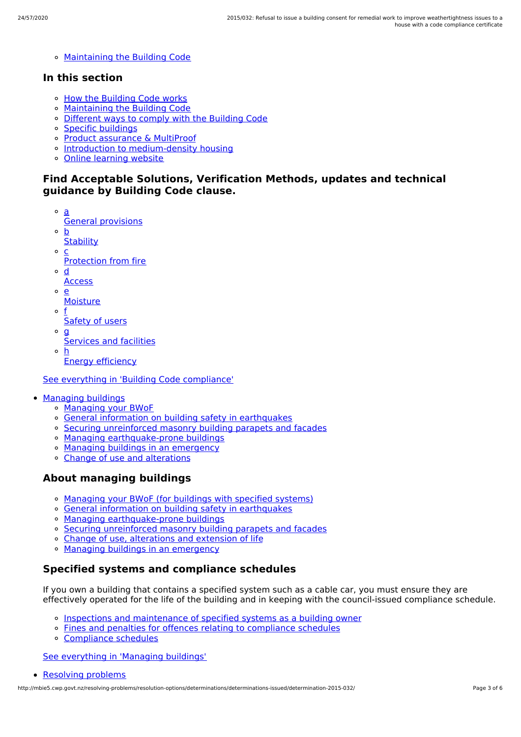[Maintaining](http://mbie5.cwp.govt.nz/building-code-compliance/annual-building-code-updates/) the Building Code

#### **In this section**

- o How the [Building](http://mbie5.cwp.govt.nz/building-code-compliance/how-the-building-code-works/) Code works
- [Maintaining](http://mbie5.cwp.govt.nz/building-code-compliance/annual-building-code-updates/) the Building Code
- [Different](http://mbie5.cwp.govt.nz/building-code-compliance/how-the-building-code-works/different-ways-to-comply/) ways to comply with the Building Code
- Specific [buildings](http://mbie5.cwp.govt.nz/building-code-compliance/specific-buildings/)
- Product [assurance](http://mbie5.cwp.govt.nz/building-code-compliance/product-assurance-and-multiproof/) & MultiProof
- o Introduction to [medium-density](http://mbie5.cwp.govt.nz/building-code-compliance/introduction-to-medium-density-housing/) housing
- Online [learning](http://mbie5.cwp.govt.nz/building-code-compliance/online-learning/) website

#### **Find Acceptable Solutions, Verification Methods, updates and technical guidance by Building Code clause.**

- a General provisions
- $\circ$ b
- **Stability**  $\Omega$ c
- Protection from fire
- $\circ$ d
- **Access**
- $\Omega$ e
	- **Moisture**
- o f Safety of users
- 
- $\circ$  **g** 
	- Services and facilities
- h Energy efficiency

See everything in 'Building Code [compliance'](http://mbie5.cwp.govt.nz/building-code-compliance/)

- [Managing](http://mbie5.cwp.govt.nz/managing-buildings/) buildings
	- [Managing](http://mbie5.cwp.govt.nz/managing-buildings/managing-your-bwof/) your BWoF
	- General information on building safety in [earthquakes](http://mbie5.cwp.govt.nz/managing-buildings/building-safety-in-earthquakes/)
	- Securing [unreinforced](http://mbie5.cwp.govt.nz/managing-buildings/unreinforced-masonry/) masonry building parapets and facades
	- o Managing [earthquake-prone](http://mbie5.cwp.govt.nz/managing-buildings/managing-earthquake-prone-buildings/) buildings
	- Managing buildings in an [emergency](http://mbie5.cwp.govt.nz/managing-buildings/managing-buildings-in-an-emergency/)
	- Change of use and [alterations](http://mbie5.cwp.govt.nz/managing-buildings/change-of-use-and-alterations/)

### **About managing buildings**

- [Managing](http://mbie5.cwp.govt.nz/managing-buildings/managing-your-bwof/) your BWoF (for buildings with specified systems)
- General information on building safety in [earthquakes](http://mbie5.cwp.govt.nz/managing-buildings/building-safety-in-earthquakes/)
- Managing [earthquake-prone](http://mbie5.cwp.govt.nz/managing-buildings/managing-earthquake-prone-buildings/) buildings
- Securing [unreinforced](http://mbie5.cwp.govt.nz/managing-buildings/unreinforced-masonry/) masonry building parapets and facades
- Change of use, [alterations](http://mbie5.cwp.govt.nz/managing-buildings/change-of-use-and-alterations/) and extension of life
- o Managing buildings in an [emergency](http://mbie5.cwp.govt.nz/managing-buildings/managing-buildings-in-an-emergency/)

### **Specified systems and compliance schedules**

If you own a building that contains a specified system such as a cable car, you must ensure they are effectively operated for the life of the building and in keeping with the council-issued compliance schedule.

- Inspections and [maintenance](http://mbie5.cwp.govt.nz/managing-buildings/managing-your-bwof/inspections-and-maintenance/) of specified systems as a building owner
- Fines and penalties for offences relating to [compliance](http://mbie5.cwp.govt.nz/managing-buildings/managing-your-bwof/fines-and-penalties/) schedules
- [Compliance](http://mbie5.cwp.govt.nz/projects-and-consents/sign-off-and-maintenance/completing-your-project/compliance-schedules/) schedules

See [everything](http://mbie5.cwp.govt.nz/managing-buildings/) in 'Managing buildings'

```
Resolving problems
```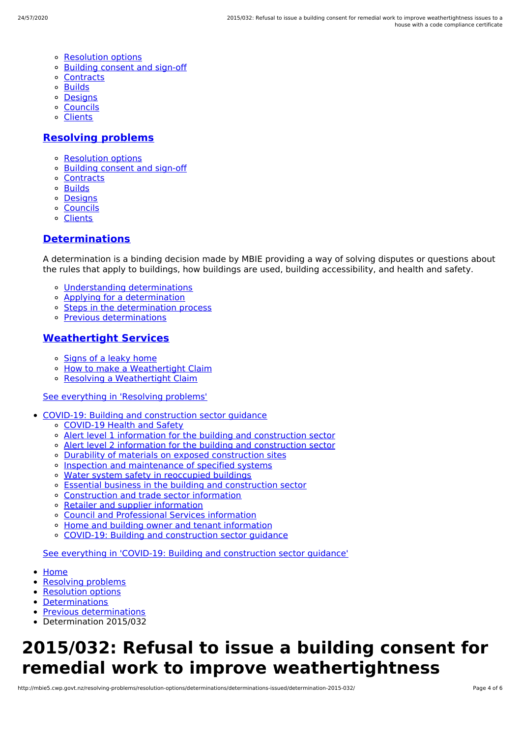- [Resolution](http://mbie5.cwp.govt.nz/resolving-problems/resolution-options/) options
- [Building](http://mbie5.cwp.govt.nz/resolving-problems/building-consent-and-sign-off/) consent and sign-off
- [Contracts](http://mbie5.cwp.govt.nz/resolving-problems/contracts/)
- [Builds](http://mbie5.cwp.govt.nz/resolving-problems/builds/)
- [Designs](http://mbie5.cwp.govt.nz/resolving-problems/designs/)
- [Councils](http://mbie5.cwp.govt.nz/resolving-problems/councils/)
- [Clients](http://mbie5.cwp.govt.nz/resolving-problems/clients/)

#### **[Resolving](http://mbie5.cwp.govt.nz/resolving-problems/) problems**

- [Resolution](http://mbie5.cwp.govt.nz/resolving-problems/resolution-options/) options
- [Building](http://mbie5.cwp.govt.nz/resolving-problems/building-consent-and-sign-off/) consent and sign-off
- [Contracts](http://mbie5.cwp.govt.nz/resolving-problems/contracts/)
- **o** [Builds](http://mbie5.cwp.govt.nz/resolving-problems/builds/)
- [Designs](http://mbie5.cwp.govt.nz/resolving-problems/designs/)
- [Councils](http://mbie5.cwp.govt.nz/resolving-problems/councils/)
- [Clients](http://mbie5.cwp.govt.nz/resolving-problems/clients/)

#### **[Determinations](http://mbie5.cwp.govt.nz/resolving-problems/resolution-options/determinations/)**

A determination is a binding decision made by MBIE providing a way of solving disputes or questions about the rules that apply to buildings, how buildings are used, building accessibility, and health and safety.

- Understanding [determinations](http://mbie5.cwp.govt.nz/resolving-problems/resolution-options/determinations/)
- Applying for a [determination](http://mbie5.cwp.govt.nz/resolving-problems/resolution-options/determinations/applying-for-a-determination/)
- o Steps in the [determination](http://mbie5.cwp.govt.nz/resolving-problems/resolution-options/determinations/steps-in-the-determination-process/) process
- Previous [determinations](http://mbie5.cwp.govt.nz/resolving-problems/resolution-options/determinations/determinations-issued/)

#### **[Weathertight](http://mbie5.cwp.govt.nz/resolving-problems/resolution-options/weathertight-services/) Services**

- o [Signs](http://mbie5.cwp.govt.nz/resolving-problems/resolution-options/weathertight-services/signs-of-a-leaky-home/) of a leaky home
- How to make a [Weathertight](http://mbie5.cwp.govt.nz/resolving-problems/resolution-options/weathertight-services/make-a-weathertight-home-claim/) Claim  $\circ$
- Resolving a [Weathertight](http://mbie5.cwp.govt.nz/resolving-problems/resolution-options/weathertight-services/resolving-a-claim/) Claim

#### See [everything](http://mbie5.cwp.govt.nz/resolving-problems/) in 'Resolving problems'

- COVID-19: Building and [construction](http://mbie5.cwp.govt.nz/covid-19/) sector guidance
	- [COVID-19](http://mbie5.cwp.govt.nz/covid-19/health-and-safety/) Health and Safety
	- Alert level 1 information for the building and [construction](http://mbie5.cwp.govt.nz/covid-19/alert-level-1-information-for-the-building-and-construction-sector/) sector
	- Alert level 2 information for the building and [construction](http://mbie5.cwp.govt.nz/covid-19/alert-level-2-information-for-the-building-and-construction-sector/) sector
	- Durability of materials on exposed [construction](http://mbie5.cwp.govt.nz/covid-19/durability-of-materials-on-exposed-construction-sites/) sites
	- o Inspection and [maintenance](http://mbie5.cwp.govt.nz/covid-19/inspection-and-maintenance-of-specified-systems/) of specified systems
	- o Water system safety in [reoccupied](http://mbie5.cwp.govt.nz/covid-19/water-system-safety-in-reoccupied-buildings/) buildings
	- Essential business in the building and [construction](http://mbie5.cwp.govt.nz/covid-19/essential-business/) sector
	- [Construction](http://mbie5.cwp.govt.nz/covid-19/construction-and-trade-sector-information/) and trade sector information
	- o Retailer and supplier [information](http://mbie5.cwp.govt.nz/covid-19/retailer-and-supplier-information/)
	- Council and [Professional](http://mbie5.cwp.govt.nz/covid-19/council-and-professional-services-information/) Services information
	- Home and building owner and tenant [information](http://mbie5.cwp.govt.nz/covid-19/home-and-building-owner-and-tenant-information/)
	- COVID-19: Building and [construction](http://mbie5.cwp.govt.nz/covid-19/) sector guidance  $\alpha$

See everything in 'COVID-19: Building and [construction](http://mbie5.cwp.govt.nz/covid-19/) sector guidance'

- $\bullet$ [Home](http://mbie5.cwp.govt.nz/)
- [Resolving](http://mbie5.cwp.govt.nz/resolving-problems/) problems
- [Resolution](http://mbie5.cwp.govt.nz/resolving-problems/resolution-options/) options
- [Determinations](http://mbie5.cwp.govt.nz/resolving-problems/resolution-options/determinations/)
- Previous [determinations](http://mbie5.cwp.govt.nz/resolving-problems/resolution-options/determinations/determinations-issued/)
- Determination 2015/032

# **2015/032: Refusal to issue a building consent for remedial work to improve weathertightness**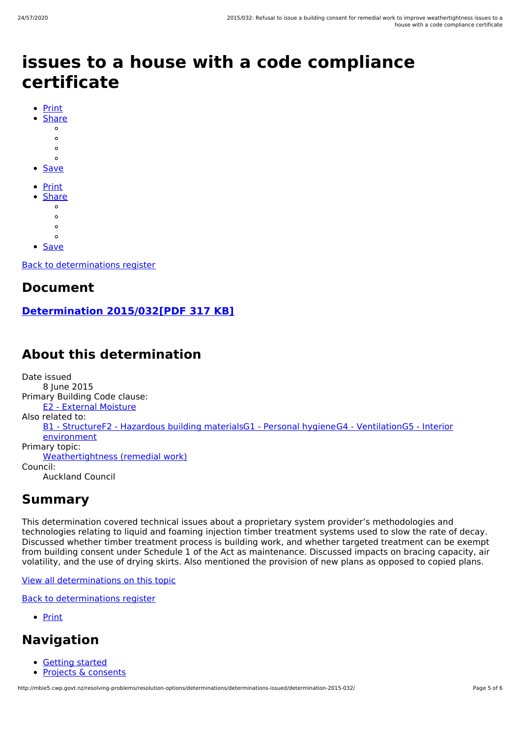# **issues to a house with a code compliance certificate**

- [Print](http://mbie5.cwp.govt.nz/#)
	- **[Share](http://mbie5.cwp.govt.nz/#)** 
		- $\circ$
		- $\circ$  $\circ$
		-
	- $\circ$
- **[Save](http://mbie5.cwp.govt.nz/resolving-problems/resolution-options/determinations/determinations-issued/determination-2015-032/downloadpdf)**
- [Print](http://mbie5.cwp.govt.nz/#)
- **[Share](http://mbie5.cwp.govt.nz/#)** 
	- $\circ$
	- $\circ$  $\circ$
	- $\circ$
- [Save](http://mbie5.cwp.govt.nz/resolving-problems/resolution-options/determinations/determinations-issued/determination-2015-032/downloadpdf)

Back to [determinations](http://mbie5.cwp.govt.nz/resolving-problems/resolution-options/determinations/determinations-issued/) register

### **Document**

**[Determination](http://mbie5.cwp.govt.nz/assets/Uploads/resolving-problems/determinations/2015/2015-032.pdf) 2015/032[PDF 317 KB]**

# **About this determination**

Date issued 8 June 2015 Primary Building Code clause: E2 - External [Moisture](http://mbie5.cwp.govt.nz/building-code-compliance/e-moisture/e2-external-moisture/) Also related to: B1 - [Structure](http://mbie5.cwp.govt.nz/building-code-compliance/b-stability/b1-structure/)F2 - [Hazardous](http://mbie5.cwp.govt.nz/building-code-compliance/f-safety-of-users/f2-hazardous-building-materials/) building materialsG1 - [Personal](http://mbie5.cwp.govt.nz/building-code-compliance/g-services-and-facilities/g1-personal-hygiene/) hygieneG4 - [VentilationG5](http://mbie5.cwp.govt.nz/building-code-compliance/g-services-and-facilities/g5-interior-environment/) - Interior environment Primary topic: [Weathertightness](http://mbie5.cwp.govt.nz/resolving-problems/resolution-options/determinations/determinations-issued/?keyword=&topic=Weathertightness%20(remedial%20work)&action_doSearch=Search#results#) (remedial work) Council: Auckland Council

## **Summary**

This determination covered technical issues about a proprietary system provider's methodologies and technologies relating to liquid and foaming injection timber treatment systems used to slow the rate of decay. Discussed whether timber treatment process is building work, and whether targeted treatment can be exempt from building consent under Schedule 1 of the Act as maintenance. Discussed impacts on bracing capacity, air volatility, and the use of drying skirts. Also mentioned the provision of new plans as opposed to copied plans.

#### View all [determinations](http://mbie5.cwp.govt.nz/resolving-problems/resolution-options/determinations/determinations-issued/?keyword=&topic=Weathertightness%20(remedial%20work)&action_doSearch=Search#results#) on this topic

Back to [determinations](http://mbie5.cwp.govt.nz/resolving-problems/resolution-options/determinations/determinations-issued/) register

• [Print](http://mbie5.cwp.govt.nz/#)

# **Navigation**

- [Getting](http://mbie5.cwp.govt.nz/getting-started/) started
- $\bullet$ Projects & [consents](http://mbie5.cwp.govt.nz/projects-and-consents/)